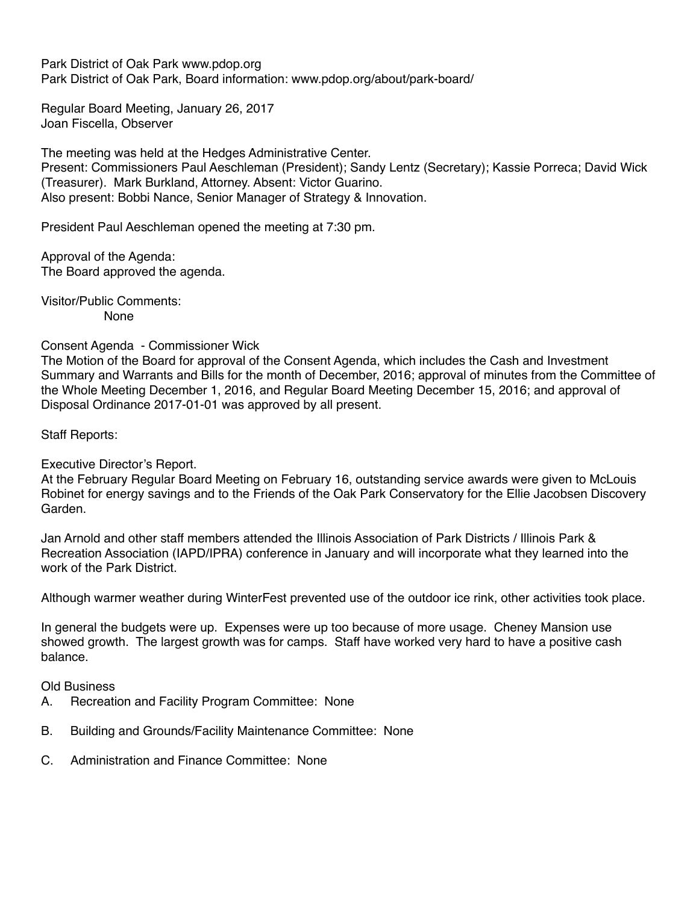Park District of Oak Park www.pdop.org Park District of Oak Park, Board information: www.pdop.org/about/park-board/

Regular Board Meeting, January 26, 2017 Joan Fiscella, Observer

The meeting was held at the Hedges Administrative Center. Present: Commissioners Paul Aeschleman (President); Sandy Lentz (Secretary); Kassie Porreca; David Wick (Treasurer). Mark Burkland, Attorney. Absent: Victor Guarino. Also present: Bobbi Nance, Senior Manager of Strategy & Innovation.

President Paul Aeschleman opened the meeting at 7:30 pm.

Approval of the Agenda: The Board approved the agenda.

Visitor/Public Comments: None

Consent Agenda - Commissioner Wick

The Motion of the Board for approval of the Consent Agenda, which includes the Cash and Investment Summary and Warrants and Bills for the month of December, 2016; approval of minutes from the Committee of the Whole Meeting December 1, 2016, and Regular Board Meeting December 15, 2016; and approval of Disposal Ordinance 2017-01-01 was approved by all present.

Staff Reports:

Executive Director's Report.

At the February Regular Board Meeting on February 16, outstanding service awards were given to McLouis Robinet for energy savings and to the Friends of the Oak Park Conservatory for the Ellie Jacobsen Discovery Garden.

Jan Arnold and other staff members attended the Illinois Association of Park Districts / Illinois Park & Recreation Association (IAPD/IPRA) conference in January and will incorporate what they learned into the work of the Park District.

Although warmer weather during WinterFest prevented use of the outdoor ice rink, other activities took place.

In general the budgets were up. Expenses were up too because of more usage. Cheney Mansion use showed growth. The largest growth was for camps. Staff have worked very hard to have a positive cash balance.

Old Business

- A. Recreation and Facility Program Committee: None
- B. Building and Grounds/Facility Maintenance Committee: None
- C. Administration and Finance Committee: None